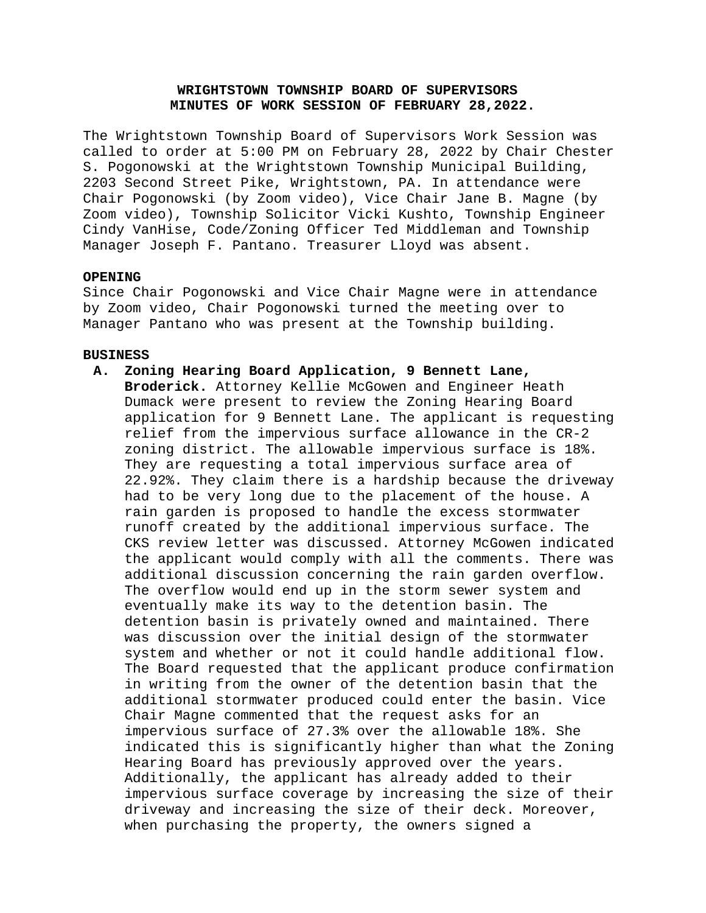# **WRIGHTSTOWN TOWNSHIP BOARD OF SUPERVISORS MINUTES OF WORK SESSION OF FEBRUARY 28,2022.**

The Wrightstown Township Board of Supervisors Work Session was called to order at 5:00 PM on February 28, 2022 by Chair Chester S. Pogonowski at the Wrightstown Township Municipal Building, 2203 Second Street Pike, Wrightstown, PA. In attendance were Chair Pogonowski (by Zoom video), Vice Chair Jane B. Magne (by Zoom video), Township Solicitor Vicki Kushto, Township Engineer Cindy VanHise, Code/Zoning Officer Ted Middleman and Township Manager Joseph F. Pantano. Treasurer Lloyd was absent.

#### **OPENING**

Since Chair Pogonowski and Vice Chair Magne were in attendance by Zoom video, Chair Pogonowski turned the meeting over to Manager Pantano who was present at the Township building.

#### **BUSINESS**

## **A. Zoning Hearing Board Application, 9 Bennett Lane,**

**Broderick.** Attorney Kellie McGowen and Engineer Heath Dumack were present to review the Zoning Hearing Board application for 9 Bennett Lane. The applicant is requesting relief from the impervious surface allowance in the CR-2 zoning district. The allowable impervious surface is 18%. They are requesting a total impervious surface area of 22.92%. They claim there is a hardship because the driveway had to be very long due to the placement of the house. A rain garden is proposed to handle the excess stormwater runoff created by the additional impervious surface. The CKS review letter was discussed. Attorney McGowen indicated the applicant would comply with all the comments. There was additional discussion concerning the rain garden overflow. The overflow would end up in the storm sewer system and eventually make its way to the detention basin. The detention basin is privately owned and maintained. There was discussion over the initial design of the stormwater system and whether or not it could handle additional flow. The Board requested that the applicant produce confirmation in writing from the owner of the detention basin that the additional stormwater produced could enter the basin. Vice Chair Magne commented that the request asks for an impervious surface of 27.3% over the allowable 18%. She indicated this is significantly higher than what the Zoning Hearing Board has previously approved over the years. Additionally, the applicant has already added to their impervious surface coverage by increasing the size of their driveway and increasing the size of their deck. Moreover, when purchasing the property, the owners signed a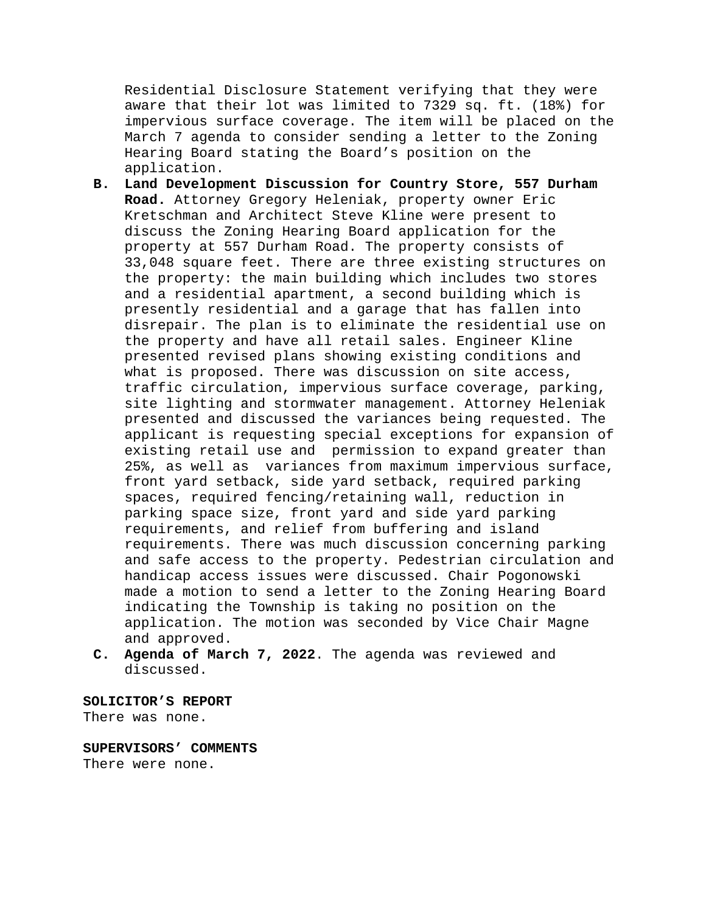Residential Disclosure Statement verifying that they were aware that their lot was limited to 7329 sq. ft. (18%) for impervious surface coverage. The item will be placed on the March 7 agenda to consider sending a letter to the Zoning Hearing Board stating the Board's position on the application.

- **B. Land Development Discussion for Country Store, 557 Durham Road.** Attorney Gregory Heleniak, property owner Eric Kretschman and Architect Steve Kline were present to discuss the Zoning Hearing Board application for the property at 557 Durham Road. The property consists of 33,048 square feet. There are three existing structures on the property: the main building which includes two stores and a residential apartment, a second building which is presently residential and a garage that has fallen into disrepair. The plan is to eliminate the residential use on the property and have all retail sales. Engineer Kline presented revised plans showing existing conditions and what is proposed. There was discussion on site access, traffic circulation, impervious surface coverage, parking, site lighting and stormwater management. Attorney Heleniak presented and discussed the variances being requested. The applicant is requesting special exceptions for expansion of existing retail use and permission to expand greater than 25%, as well as variances from maximum impervious surface, front yard setback, side yard setback, required parking spaces, required fencing/retaining wall, reduction in parking space size, front yard and side yard parking requirements, and relief from buffering and island requirements. There was much discussion concerning parking and safe access to the property. Pedestrian circulation and handicap access issues were discussed. Chair Pogonowski made a motion to send a letter to the Zoning Hearing Board indicating the Township is taking no position on the application. The motion was seconded by Vice Chair Magne and approved.
- **C. Agenda of March 7, 2022**. The agenda was reviewed and discussed.

**SOLICITOR'S REPORT** There was none.

**SUPERVISORS' COMMENTS** There were none.